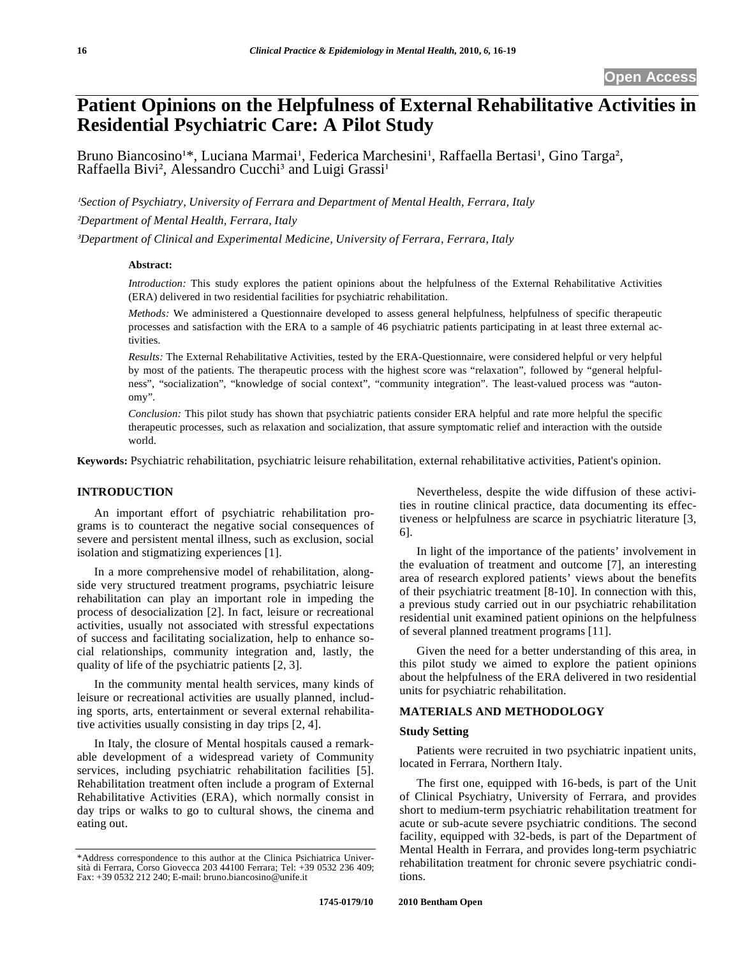# **Patient Opinions on the Helpfulness of External Rehabilitative Activities in Residential Psychiatric Care: A Pilot Study**

Bruno Biancosino<sup>1\*</sup>, Luciana Marmai<sup>1</sup>, Federica Marchesini<sup>1</sup>, Raffaella Bertasi<sup>1</sup>, Gino Targa<sup>2</sup>,<br>Raffaella Bivi<sup>2</sup>, Alessandro Cucchi<sup>3</sup> and Luigi Grassi<sup>1</sup> Raffaella Bivi<sup>2</sup>, Alessandro Cucchi<sup>3</sup> and Luigi Grassi<sup>1</sup>

*Section of Psychiatry, University of Ferrara and Department of Mental Health, Ferrara, Italy -Department of Mental Health, Ferrara, Italy* 

*Department of Clinical and Experimental Medicine, University of Ferrara, Ferrara, Italy* 

## **Abstract:**

*Introduction:* This study explores the patient opinions about the helpfulness of the External Rehabilitative Activities (ERA) delivered in two residential facilities for psychiatric rehabilitation.

*Methods:* We administered a Questionnaire developed to assess general helpfulness, helpfulness of specific therapeutic processes and satisfaction with the ERA to a sample of 46 psychiatric patients participating in at least three external activities.

*Results:* The External Rehabilitative Activities, tested by the ERA-Questionnaire, were considered helpful or very helpful by most of the patients. The therapeutic process with the highest score was "relaxation", followed by "general helpfulness", "socialization", "knowledge of social context", "community integration". The least-valued process was "autonomy".

*Conclusion:* This pilot study has shown that psychiatric patients consider ERA helpful and rate more helpful the specific therapeutic processes, such as relaxation and socialization, that assure symptomatic relief and interaction with the outside world.

**Keywords:** Psychiatric rehabilitation, psychiatric leisure rehabilitation, external rehabilitative activities, Patient's opinion.

# **INTRODUCTION**

An important effort of psychiatric rehabilitation programs is to counteract the negative social consequences of severe and persistent mental illness, such as exclusion, social isolation and stigmatizing experiences [1].

In a more comprehensive model of rehabilitation, alongside very structured treatment programs, psychiatric leisure rehabilitation can play an important role in impeding the process of desocialization [2]. In fact, leisure or recreational activities, usually not associated with stressful expectations of success and facilitating socialization, help to enhance social relationships, community integration and, lastly, the quality of life of the psychiatric patients [2, 3].

In the community mental health services, many kinds of leisure or recreational activities are usually planned, including sports, arts, entertainment or several external rehabilitative activities usually consisting in day trips [2, 4].

In Italy, the closure of Mental hospitals caused a remarkable development of a widespread variety of Community services, including psychiatric rehabilitation facilities [5]. Rehabilitation treatment often include a program of External Rehabilitative Activities (ERA), which normally consist in day trips or walks to go to cultural shows, the cinema and eating out.

Nevertheless, despite the wide diffusion of these activities in routine clinical practice, data documenting its effectiveness or helpfulness are scarce in psychiatric literature [3, 6].

In light of the importance of the patients' involvement in the evaluation of treatment and outcome [7], an interesting area of research explored patients' views about the benefits of their psychiatric treatment [8-10]. In connection with this, a previous study carried out in our psychiatric rehabilitation residential unit examined patient opinions on the helpfulness of several planned treatment programs [11].

Given the need for a better understanding of this area, in this pilot study we aimed to explore the patient opinions about the helpfulness of the ERA delivered in two residential units for psychiatric rehabilitation.

#### **MATERIALS AND METHODOLOGY**

## **Study Setting**

Patients were recruited in two psychiatric inpatient units, located in Ferrara, Northern Italy.

The first one, equipped with 16-beds, is part of the Unit of Clinical Psychiatry, University of Ferrara, and provides short to medium-term psychiatric rehabilitation treatment for acute or sub-acute severe psychiatric conditions. The second facility, equipped with 32-beds, is part of the Department of Mental Health in Ferrara, and provides long-term psychiatric rehabilitation treatment for chronic severe psychiatric conditions.

<sup>\*</sup>Address correspondence to this author at the Clinica Psichiatrica Università di Ferrara, Corso Giovecca 203 44100 Ferrara; Tel: +39 0532 236 409; Fax: +39 0532 212 240; E-mail: bruno.biancosino@unife.it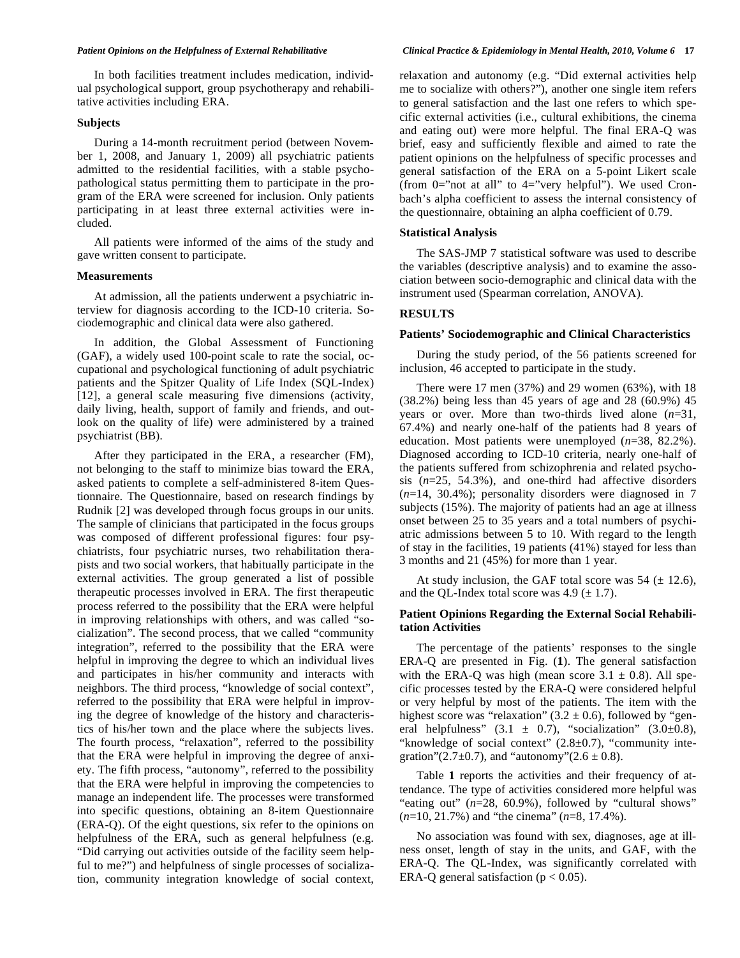In both facilities treatment includes medication, individual psychological support, group psychotherapy and rehabilitative activities including ERA.

#### **Subjects**

During a 14-month recruitment period (between November 1, 2008, and January 1, 2009) all psychiatric patients admitted to the residential facilities, with a stable psychopathological status permitting them to participate in the program of the ERA were screened for inclusion. Only patients participating in at least three external activities were included.

All patients were informed of the aims of the study and gave written consent to participate.

#### **Measurements**

At admission, all the patients underwent a psychiatric interview for diagnosis according to the ICD-10 criteria. Sociodemographic and clinical data were also gathered.

In addition, the Global Assessment of Functioning (GAF), a widely used 100-point scale to rate the social, occupational and psychological functioning of adult psychiatric patients and the Spitzer Quality of Life Index (SQL-Index) [12], a general scale measuring five dimensions (activity, daily living, health, support of family and friends, and outlook on the quality of life) were administered by a trained psychiatrist (BB).

After they participated in the ERA, a researcher (FM), not belonging to the staff to minimize bias toward the ERA, asked patients to complete a self-administered 8-item Questionnaire. The Questionnaire, based on research findings by Rudnik [2] was developed through focus groups in our units. The sample of clinicians that participated in the focus groups was composed of different professional figures: four psychiatrists, four psychiatric nurses, two rehabilitation therapists and two social workers, that habitually participate in the external activities. The group generated a list of possible therapeutic processes involved in ERA. The first therapeutic process referred to the possibility that the ERA were helpful in improving relationships with others, and was called "socialization". The second process, that we called "community integration", referred to the possibility that the ERA were helpful in improving the degree to which an individual lives and participates in his/her community and interacts with neighbors. The third process, "knowledge of social context", referred to the possibility that ERA were helpful in improving the degree of knowledge of the history and characteristics of his/her town and the place where the subjects lives. The fourth process, "relaxation", referred to the possibility that the ERA were helpful in improving the degree of anxiety. The fifth process, "autonomy", referred to the possibility that the ERA were helpful in improving the competencies to manage an independent life. The processes were transformed into specific questions, obtaining an 8-item Questionnaire (ERA-Q). Of the eight questions, six refer to the opinions on helpfulness of the ERA, such as general helpfulness (e.g. "Did carrying out activities outside of the facility seem helpful to me?") and helpfulness of single processes of socialization, community integration knowledge of social context, relaxation and autonomy (e.g. "Did external activities help me to socialize with others?"), another one single item refers to general satisfaction and the last one refers to which specific external activities (i.e., cultural exhibitions, the cinema and eating out) were more helpful. The final ERA-Q was brief, easy and sufficiently flexible and aimed to rate the patient opinions on the helpfulness of specific processes and general satisfaction of the ERA on a 5-point Likert scale (from  $0=$ "not at all" to  $4=$ "very helpful"). We used Cronbach's alpha coefficient to assess the internal consistency of the questionnaire, obtaining an alpha coefficient of 0.79.

# **Statistical Analysis**

The SAS-JMP 7 statistical software was used to describe the variables (descriptive analysis) and to examine the association between socio-demographic and clinical data with the instrument used (Spearman correlation, ANOVA).

## **RESULTS**

#### **Patients' Sociodemographic and Clinical Characteristics**

During the study period, of the 56 patients screened for inclusion, 46 accepted to participate in the study.

There were 17 men (37%) and 29 women (63%), with 18 (38.2%) being less than 45 years of age and 28 (60.9%) 45 years or over. More than two-thirds lived alone (*n*=31, 67.4%) and nearly one-half of the patients had 8 years of education. Most patients were unemployed (*n*=38, 82.2%). Diagnosed according to ICD-10 criteria, nearly one-half of the patients suffered from schizophrenia and related psychosis (*n*=25, 54.3%), and one-third had affective disorders (*n*=14, 30.4%); personality disorders were diagnosed in 7 subjects (15%). The majority of patients had an age at illness onset between 25 to 35 years and a total numbers of psychiatric admissions between 5 to 10. With regard to the length of stay in the facilities, 19 patients (41%) stayed for less than 3 months and 21 (45%) for more than 1 year.

At study inclusion, the GAF total score was  $54 (\pm 12.6)$ , and the QL-Index total score was  $4.9 \ (\pm 1.7)$ .

## **Patient Opinions Regarding the External Social Rehabilitation Activities**

The percentage of the patients' responses to the single ERA-Q are presented in Fig. (**1**). The general satisfaction with the ERA-Q was high (mean score  $3.1 \pm 0.8$ ). All specific processes tested by the ERA-Q were considered helpful or very helpful by most of the patients. The item with the highest score was "relaxation" (3.2  $\pm$  0.6), followed by "general helpfulness"  $(3.1 \pm 0.7)$ , "socialization"  $(3.0\pm 0.8)$ , "knowledge of social context"  $(2.8\pm0.7)$ , "community integration"(2.7 $\pm$ 0.7), and "autonomy"(2.6  $\pm$  0.8).

Table **1** reports the activities and their frequency of attendance. The type of activities considered more helpful was "eating out" (*n*=28, 60.9%), followed by "cultural shows" (*n*=10, 21.7%) and "the cinema" (*n*=8, 17.4%).

No association was found with sex, diagnoses, age at illness onset, length of stay in the units, and GAF, with the ERA-Q. The QL-Index, was significantly correlated with ERA-Q general satisfaction ( $p < 0.05$ ).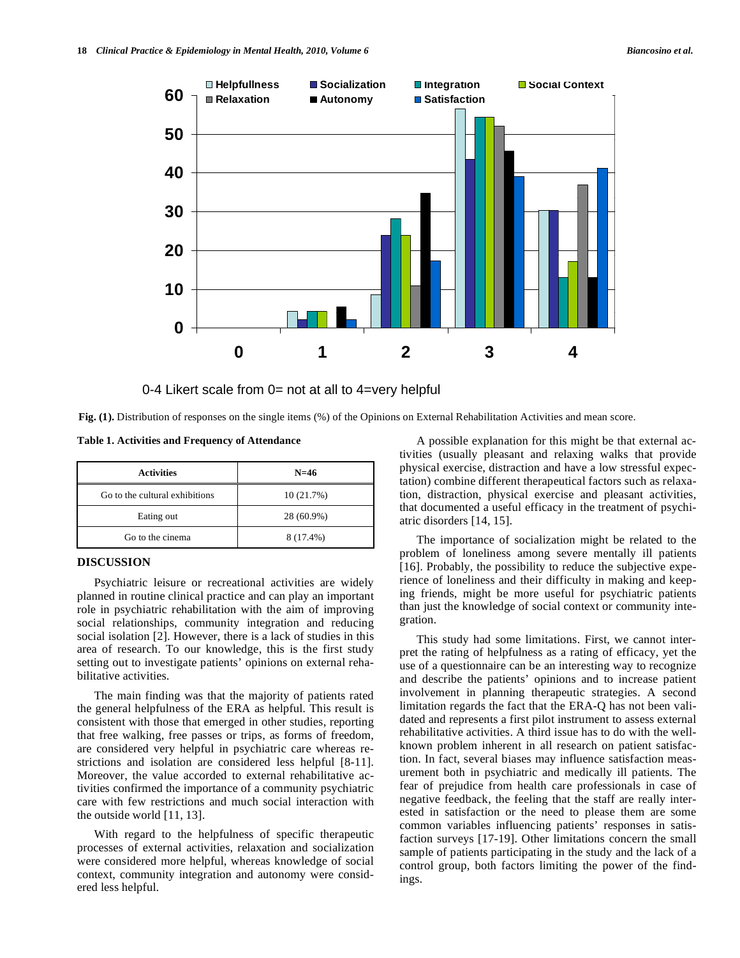

0-4 Likert scale from 0= not at all to 4=very helpful

**Fig. (1).** Distribution of responses on the single items (%) of the Opinions on External Rehabilitation Activities and mean score.

**Table 1. Activities and Frequency of Attendance** 

| <b>Activities</b>              | $N = 46$   |
|--------------------------------|------------|
| Go to the cultural exhibitions | 10 (21.7%) |
| Eating out                     | 28 (60.9%) |
| Go to the cinema               | 8 (17.4%)  |

## **DISCUSSION**

Psychiatric leisure or recreational activities are widely planned in routine clinical practice and can play an important role in psychiatric rehabilitation with the aim of improving social relationships, community integration and reducing social isolation [2]. However, there is a lack of studies in this area of research. To our knowledge, this is the first study setting out to investigate patients' opinions on external rehabilitative activities.

The main finding was that the majority of patients rated the general helpfulness of the ERA as helpful. This result is consistent with those that emerged in other studies, reporting that free walking, free passes or trips, as forms of freedom, are considered very helpful in psychiatric care whereas restrictions and isolation are considered less helpful [8-11]. Moreover, the value accorded to external rehabilitative activities confirmed the importance of a community psychiatric care with few restrictions and much social interaction with the outside world [11, 13].

With regard to the helpfulness of specific therapeutic processes of external activities, relaxation and socialization were considered more helpful, whereas knowledge of social context, community integration and autonomy were considered less helpful.

A possible explanation for this might be that external activities (usually pleasant and relaxing walks that provide physical exercise, distraction and have a low stressful expectation) combine different therapeutical factors such as relaxation, distraction, physical exercise and pleasant activities, that documented a useful efficacy in the treatment of psychiatric disorders [14, 15].

The importance of socialization might be related to the problem of loneliness among severe mentally ill patients [16]. Probably, the possibility to reduce the subjective experience of loneliness and their difficulty in making and keeping friends, might be more useful for psychiatric patients than just the knowledge of social context or community integration.

This study had some limitations. First, we cannot interpret the rating of helpfulness as a rating of efficacy, yet the use of a questionnaire can be an interesting way to recognize and describe the patients' opinions and to increase patient involvement in planning therapeutic strategies. A second limitation regards the fact that the ERA-Q has not been validated and represents a first pilot instrument to assess external rehabilitative activities. A third issue has to do with the wellknown problem inherent in all research on patient satisfaction. In fact, several biases may influence satisfaction measurement both in psychiatric and medically ill patients. The fear of prejudice from health care professionals in case of negative feedback, the feeling that the staff are really interested in satisfaction or the need to please them are some common variables influencing patients' responses in satisfaction surveys [17-19]. Other limitations concern the small sample of patients participating in the study and the lack of a control group, both factors limiting the power of the findings.